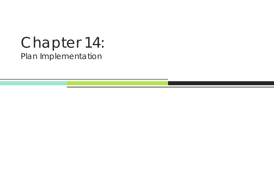# Chapter 14: Plan Implementation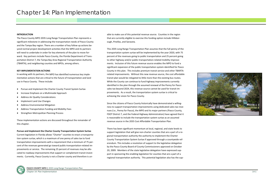

## **INTRODUCTION**

The Pasco County MPO 2035 Long Range Transportation Plan represents <sup>a</sup> significant milestone in addressing the transportation needs of Pasco County and the Tampa Bay region. There are <sup>a</sup> number of key follow up actions be‐ yond normal project development activities that the MPO and its partners will need to undertake in order for key elements of the plan to move for‐ ward. Key partners include Pasco County, the Florida Department of Trans‐ portation District 7, the Tampa Bay Area Regional Transportation Authority (TBARTA), and neighboring counties and MPOs, among others.

- $\bullet$ Pursue and Implement the Charter County Transit System Surtax
- $\bullet$ Increase Emphasis on <sup>a</sup> Multimodal Approach
- $\bullet$ Address Air Quality Considerations
- $\bullet$ Implement Land Use Changes
- $\bullet$ Address Environmental Mitigation
- $\bullet$ Address Transportation Funding and Mobility Fees
- $\bullet$ Strengthen Metropolitan Planning Process

#### **KEY IMPLEMENTATION ACTIONS**

In working with its partners, the MPO has identified numerous key imple‐ mentation actions that are critical to the future of transportation and land use in Pasco County. These include:

These implementation actions are discussed throughout the remainder of this chapter.

## **Pursue and Implement the Charter County Transportation System Surtax**

Current legislation in Florida allows "Charter" counties to enact <sup>a</sup> transporta‐ tion system surtax, which is <sup>a</sup> maximum of one penny of sales tax to fund transportation improvements with <sup>a</sup> requirement that <sup>a</sup> minimum of 75 per‐ cent of the revenues generated go toward public‐transportation‐related im‐ provements or service. The remaining 25 percent of revenues may be allocated to roadway improvements that support or complement transit invest‐ ments. Currently, Pasco County is not <sup>a</sup> Charter county and therefore is un‐

able to make use of this potential revenue source. Counties in the region that are currently eligible to exercise this funding option include Hillsbor‐ ough, Pinellas, and Sarasota.

This 2035 Long Range Transportation Plan assumes that the full penny of the transportation system surtax will be implemented by the year 2020, with 75 percent of the revenues going to public transportation and 25 percent going to other highway and/or public‐transportation‐related mobility improve‐ ments. Inclusion of this future revenue source enables the MPO to fund <sup>a</sup> significant expansion of the public transportation system identified for Pasco County in this plan. This includes premium transit service and other TBARTA‐ related improvements. Without this new revenue source, the cost affordable transit plan would be relegated to little more than the existing bus routes. While the County can continue to fund highway improvements currently identified in the plan through the assumed renewal of the Penny for Pasco sales tax beyond 2024, this revenue source cannot be used for transit im‐ provements. As <sup>a</sup> result, the transportation system surtax is critical to achieving the vision for Pasco County.

Since the citizens of Pasco County historically have demonstrated <sup>a</sup> willing‐ ness to support transportation improvements using dedicated sales tax reve‐ nues (i.e., Penny for Pasco), the MPO and its major partners (Pasco County, FDOT District 7, and the Federal Highway Administration) have agreed that it is reasonable to include the transportation system surtax as an assumed revenue source in the 2035 Cost Affordable Transportation Plan.

There has been significant momentum at local, regional, and state levels to support legislation that will give non-charter counties that are a part of a regional transportation authority the authority to implement the Charter County Transportation System Surtax if approved through <sup>a</sup> countywide ref‐ erendum. This includes <sup>a</sup> resolution of support to the legislative delegation by the Pasco County Board of County Commissioners approved on October 20, 2009. Members of the state legislative delegation have expressed sup‐ port in sponsoring the enabling legislation for counties that are <sup>a</sup> part of <sup>a</sup> regional transportation authority. This potential legislation also has the sup‐

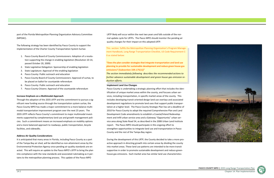**PASCO COUNTY MPO |** 2035 Long Range Transportation Plan Chapter 14: Plan Implementation





This section fulfills the Metropolitan Planning Organization's Program Manage‐ ment Handbook, Long Range Transportation Checklist, US Code Requirement C‐ 6 as stated below:

**"Doesthe plan considerstrategiesthatintegrate transportation and land use planning to provide for sustainable development and reduce green house gas emissions? [Subsection 339.175(1)]"**

*The section immediately following describes the recommended actions to further advance sustainable development and green house gas emission re‐ duction efforts.*

port of the Florida Metropolitan Planning Organization Advisory Committee (MPOAC).

The following strategy has been identified by Pasco County to support the implementation of the Charter County Transportation System Surtax:

- 1. Pasco County Board of County Commissioners: Adoption of <sup>a</sup> resolu‐ tion supporting the change in enabling legislation (Resolution 10‐14, passed October 20, 2009)
- 2. State Legislative Delegation: Sponsorship of enabling legislation
- 3. State Legislature: Approval of the enabling legislation
- 4. Pasco County: Public outreach and education
- 5. Pasco County Board of County Commissioners: Approval of surtax, to be placed on ballot for countywide referendum
- 6. Pasco County: Public outreach and education
- 7. Pasco County Citizens: Approval of the countywide referendum

#### **Increase Emphasis on <sup>a</sup> Multimodal Approach**

Through the adoption of the 2035 LRTP and the commitment to pursue <sup>a</sup> sig‐ nificant new funding source through the transportation system surtax, the Pasco County MPO has made <sup>a</sup> major commitment to <sup>a</sup> more balance multi‐ modal transportation improvement program over the next 25 years. The 2035 LRTP reflects Pasco County's commitment to major multimodal invest‐ ments supported by complementary land use and growth management poli‐ cies. Such <sup>a</sup> commitment means an increased emphasis on mobility options and <sup>a</sup> more balanced approach to roadways, public transportation, bicycle facilities, and sidewalks.

#### **Address Air Quality Considerations**

It is anticipated that many areas in Florida, including Pasco County as <sup>a</sup> part of the Tampa Bay air shed, will be identified as non‐attainment areas by the Environmental Protection Agency once pending air quality standards are en‐ acted. This will require an update to the Pasco MPO's LRTP to bring the plan into compliance with the new standards and associated rulemaking as it per‐ tains to the metropolitan planning process. This update of the Pasco MPO

LRTP likely will occur within the next two years and falls outside of the nor‐ mal update cycle for LRTPs. The Pasco MPO should monitor the pending air quality changes for their impact on this adopted LRTP.

#### **Implement Land Use Changes**

Pasco County is undertaking <sup>a</sup> strategic planning effort that includes the iden‐ tification of unique market areas within the county, and focuses urban ser‐ vices, including transportation, in specific market areas of the county. This includes developing transit oriented design land use overlays and associated development regulations to promote land uses that support public transpor‐ tation at <sup>a</sup> higher level. The Pasco County Strategic Plan has set <sup>a</sup> deadline of 2010 for Pasco County to adopt the required Comprehensive Plan and Land Development Code amendments to establish <sup>a</sup> Coastal/Inland Redevelop‐ ment and Infill urban service area and <sup>a</sup> Gateway "Opportunity" urban ser‐ vice area along State Road 54, as described in the 2008 Urban Land Institute report. The Pasco MPO should participate in this ongoing effort to strengthen opportunities to integrate land use and transportation in Pasco County and the rest of the Tampa Bay region.

During the development of this LRTP, the County decided to take <sup>a</sup> more pro‐ active approach in directing growth into certain areas by dividing the county into market areas. These land use patterns are intended to be more transit supportive in order to promote sustainable development and reduce green‐ house gas emissions. Each market area has similar land use characteristics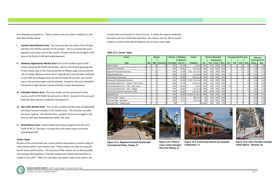

| <b>Center</b>                              | <b>Stories</b> |                 |                | <b>Ground</b>   | <b>Building</b>  | <b>Center</b>      | <b>Percent Allocation</b> |                   |     | <b>Average Units Per Acre</b> |                |              |                | <b>Effective</b> |                |            |
|--------------------------------------------|----------------|-----------------|----------------|-----------------|------------------|--------------------|---------------------------|-------------------|-----|-------------------------------|----------------|--------------|----------------|------------------|----------------|------------|
|                                            |                |                 |                |                 | <b>Footprint</b> |                    |                           | <b>Employment</b> |     |                               |                |              |                |                  | (Selected) FAR |            |
| <b>Type</b>                                | <b>Min</b>     | <b>Max</b>      | <b>Assumed</b> | <b>Coverage</b> | (sq. ft.)        | <b>Footprint</b>   | <b>DU</b>                 | <b>Ind</b>        | Com | Serv                          | <b>DU</b>      | Ind          | Com            | <b>Serv</b>      | <b>Gross</b>   | <b>Net</b> |
| Urban Center                               |                | 20 <sub>l</sub> | 10             | 50%             | 21,780           | ∣ sq mi∎           | 30%                       | 0%                | 20% | 50%                           | 41             |              | 22             | 84               | 5.00           | 2.50       |
| <b>Regional Commercial</b>                 |                |                 |                | 45%             | 19,602           | $0.5$ sq mi        | 10%                       | 0%                | 55% | 35%                           |                |              | 28             | 19 <sub>l</sub>  | 1.35           | 0.61       |
| <b>Regional Professional Service</b>       | $\mathbf{3}$   | 12              |                | 30%             | 13,068           | $0.25 - 0.5$ sq mi | 20%                       | 0%                | 20% | 60%                           | $\overline{9}$ | <sup>0</sup> | 11             | 42               | 2.40           | 0.72       |
| Regional Mixed Use                         |                | 10 <sup>1</sup> |                | 50%             | 21,780           | $0.5$ sq mi        | 30%                       | 0%                | 25% | 45%                           | 20             |              | 14             | 38               | 2.50           | 1.25       |
| <b>Community Commercial</b>                |                |                 |                | 25%             | 10,890           | $0.25$ sq mi       | 20%                       | 0%                | 45% | 35%                           |                |              | 5              |                  | 0.50           | 0.13       |
| <b>Community Professional Service</b>      |                |                 |                | 30%             | 13,068           | 0.25 - 0.5 sq mi   | 20%                       | 0%                | 20% | 60%                           |                |              |                | 26               | 1.50           | 0.45       |
| Community Mixed Use - Historic Town Center |                |                 |                | 50%             | 21,780           | $0.25$ sq mi       | 20%                       | 0%                | 25% | 55%                           |                |              | 5 <sub>l</sub> | 23               | 1.00           | 0.50       |
| Community Mixed Use - TOD - New Town       |                |                 |                | 45%             | 19,602           | l sq mi∎           | 65%                       | 5%                | 15% | 15%                           | 16             |              |                |                  | 1.35           | 0.61       |
| Community Mixed Use - TOD - Village        |                |                 |                | 45%             | 19,602           | $0.5$ sq mi        | 38%                       | 2%                | 30% | 30%                           |                |              |                | 11               | 0.90           | 0.41       |
| <b>Community Business Commerce Park</b>    |                |                 |                | 30%             | 10,890           | $0.25$ sq mi       | 20%                       | 40%               | 20% | 20%                           |                |              | Δ              |                  | 0.50           | 0.15       |
| Neighborhood                               |                |                 |                | 45%             | 19,602           | 0.125-0.25 sq mi   | 80%                       | 0%                | 10% | 10%                           | 14             |              | $\overline{2}$ |                  | 0.90           | 0.41       |
| Park and Ride - Urban                      |                |                 |                | 20%             | 8,712            | 80K sq ft          | 0%                        | 0%                | 40% | 60%                           |                |              |                |                  | 0.20           | 0.04       |
| Park and Ride - Suburban                   |                |                 |                | 20%             | 8,712            | 20K sq ft          | 0%                        | 0%                | 50% | 50%                           | 01             |              |                |                  | 0.20           | 0.04       |
| Park and Ride - Parking only               | ΩL             |                 |                | 0%              |                  |                    | 100%                      | 0%                | 0%  | 0%                            |                |              | ∩              |                  | 0.00           | 0.00       |



*Figure 14‐1: Regional Commercial Example International Plaza, Tampa, FL*





*Figure 14‐4: Park and Ride Example Valley Metro, Phoenix, AZ*

and development patterns. These market areas are shown in Map 14‐1 and described briefly below:

- **I.** *Coastal Inland Market Area:* This area includes the cities of Port Richey and New Port Richey and the US 19 corridor. This is currently the most populous and urban part of the county. Growth will be encouraged in this area in the form of infill and redevelopment.
- **II.** *Gateway Opportunity Market Area:* This is the southern part of the county along the SR 54/SR 56 corridor, which is the fastest‐growing part of the county, due to the close proximity to Hillsborough County and the city of Tampa. Because of the recent rapid growth and the plans included in this LRTP for managed lanes on the SR 54/SR 56 corridor, this market area is the primary target area for growth. Growth in this area should be contained in high‐density, transit‐oriented, center development.
- **III.** *Suburban Market Area:* This area makes up the central part of the county, north of SR 54/SR 56 and south of SR 52. Growth in this area will likely be lower‐density residential development.
- *IV. East Cities Market Area:* The US 301 corridor and the cities of Zephyrhills and Dade City are included in this market area. This area also includes the green swamp. Like Market Area I, growth will be encouraged in the form of infill and redevelopment within the cities.
- **V.** *Rural Market Area:* Growth likely will be discouraged from this area north of SR 52. The goal is to keep the rural aspect intact and avoid sprawling growth.

#### **Center Types**

As part of the revised land use, centers will be developed at certain nodes or intersections within each market area. These centers can take on many dif‐ ferent forms and functions. The purpose of the centers are to direct growth into compact development <sup>s</sup> that will support the transit improvements in‐ cluded in this LRTP. Table 14‐1 describes the center types to be used in the

revised land use forecast for Pasco County. It shows the typical residential densities and non‐residential intensities the centers will be able to accom‐ modate, as well as the typical footprint size of each center type.

**Table 14‐1: Center Types**



*Figure 14‐3: Community Mixed Use Example Celebration, FL*

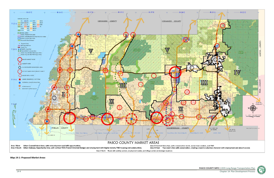





```
Map 14‐1: Proposed Market Areas
```